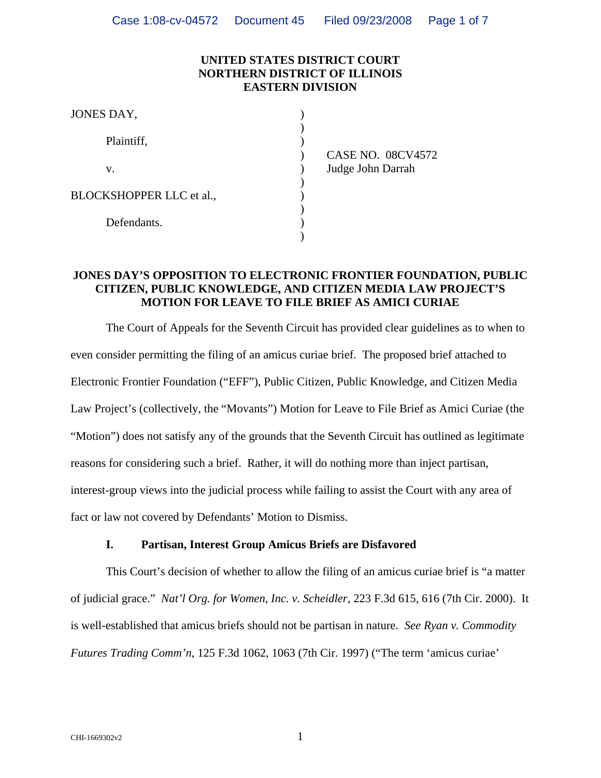### **UNITED STATES DISTRICT COURT NORTHERN DISTRICT OF ILLINOIS EASTERN DIVISION**

| JONES DAY,               |      |  |
|--------------------------|------|--|
| Plaintiff,               |      |  |
|                          | CAS  |  |
| V.                       | Judg |  |
|                          |      |  |
| BLOCKSHOPPER LLC et al., |      |  |
| Defendants.              |      |  |
|                          |      |  |

E NO. 08CV4572 e John Darrah

### **JONES DAY'S OPPOSITION TO ELECTRONIC FRONTIER FOUNDATION, PUBLIC CITIZEN, PUBLIC KNOWLEDGE, AND CITIZEN MEDIA LAW PROJECT'S MOTION FOR LEAVE TO FILE BRIEF AS AMICI CURIAE**

 The Court of Appeals for the Seventh Circuit has provided clear guidelines as to when to even consider permitting the filing of an amicus curiae brief. The proposed brief attached to Electronic Frontier Foundation ("EFF"), Public Citizen, Public Knowledge, and Citizen Media Law Project's (collectively, the "Movants") Motion for Leave to File Brief as Amici Curiae (the "Motion") does not satisfy any of the grounds that the Seventh Circuit has outlined as legitimate reasons for considering such a brief. Rather, it will do nothing more than inject partisan, interest-group views into the judicial process while failing to assist the Court with any area of fact or law not covered by Defendants' Motion to Dismiss.

#### **I. Partisan, Interest Group Amicus Briefs are Disfavored**

 This Court's decision of whether to allow the filing of an amicus curiae brief is "a matter of judicial grace." *Nat'l Org. for Women, Inc. v. Scheidler*, 223 F.3d 615, 616 (7th Cir. 2000). It is well-established that amicus briefs should not be partisan in nature. *See Ryan v. Commodity Futures Trading Comm'n*, 125 F.3d 1062, 1063 (7th Cir. 1997) ("The term 'amicus curiae'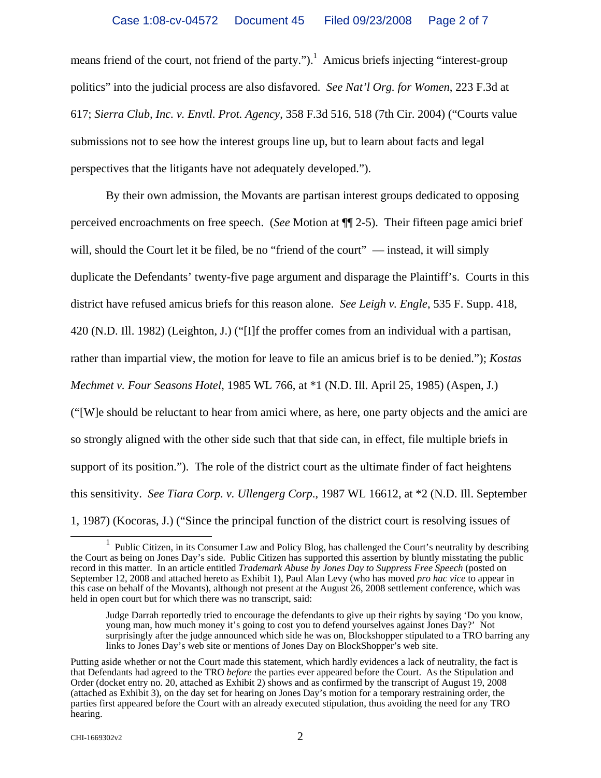means friend of the court, not friend of the party." $)^1$  Amicus briefs injecting "interest-group" politics" into the judicial process are also disfavored. *See Nat'l Org. for Women*, 223 F.3d at 617; *Sierra Club, Inc. v. Envtl. Prot. Agency*, 358 F.3d 516, 518 (7th Cir. 2004) ("Courts value submissions not to see how the interest groups line up, but to learn about facts and legal perspectives that the litigants have not adequately developed.").

 By their own admission, the Movants are partisan interest groups dedicated to opposing perceived encroachments on free speech. (*See* Motion at ¶¶ 2-5). Their fifteen page amici brief will, should the Court let it be filed, be no "friend of the court" — instead, it will simply duplicate the Defendants' twenty-five page argument and disparage the Plaintiff's. Courts in this district have refused amicus briefs for this reason alone. *See Leigh v. Engle*, 535 F. Supp. 418, 420 (N.D. Ill. 1982) (Leighton, J.) ("[I]f the proffer comes from an individual with a partisan, rather than impartial view, the motion for leave to file an amicus brief is to be denied."); *Kostas Mechmet v. Four Seasons Hotel*, 1985 WL 766, at \*1 (N.D. Ill. April 25, 1985) (Aspen, J.) ("[W]e should be reluctant to hear from amici where, as here, one party objects and the amici are so strongly aligned with the other side such that that side can, in effect, file multiple briefs in support of its position."). The role of the district court as the ultimate finder of fact heightens

this sensitivity. *See Tiara Corp. v. Ullengerg Corp*., 1987 WL 16612, at \*2 (N.D. Ill. September

1, 1987) (Kocoras, J.) ("Since the principal function of the district court is resolving issues of

<sup>&</sup>lt;u>1</u> Public Citizen, in its Consumer Law and Policy Blog, has challenged the Court's neutrality by describing the Court as being on Jones Day's side. Public Citizen has supported this assertion by bluntly misstating the public record in this matter. In an article entitled *Trademark Abuse by Jones Day to Suppress Free Speech* (posted on September 12, 2008 and attached hereto as Exhibit 1), Paul Alan Levy (who has moved *pro hac vice* to appear in this case on behalf of the Movants), although not present at the August 26, 2008 settlement conference, which was held in open court but for which there was no transcript, said:

Judge Darrah reportedly tried to encourage the defendants to give up their rights by saying 'Do you know, young man, how much money it's going to cost you to defend yourselves against Jones Day?' Not surprisingly after the judge announced which side he was on, Blockshopper stipulated to a TRO barring any links to Jones Day's web site or mentions of Jones Day on BlockShopper's web site.

Putting aside whether or not the Court made this statement, which hardly evidences a lack of neutrality, the fact is that Defendants had agreed to the TRO *before* the parties ever appeared before the Court. As the Stipulation and Order (docket entry no. 20, attached as Exhibit 2) shows and as confirmed by the transcript of August 19, 2008 (attached as Exhibit 3), on the day set for hearing on Jones Day's motion for a temporary restraining order, the parties first appeared before the Court with an already executed stipulation, thus avoiding the need for any TRO hearing.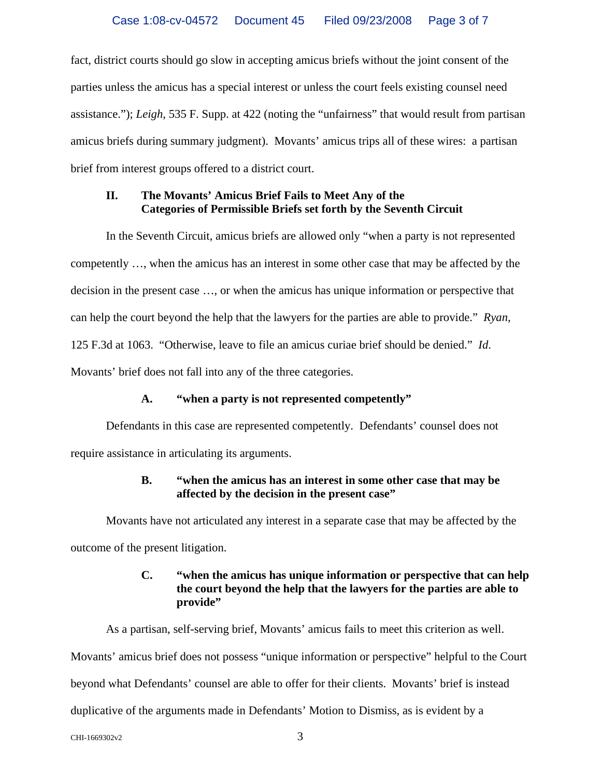fact, district courts should go slow in accepting amicus briefs without the joint consent of the parties unless the amicus has a special interest or unless the court feels existing counsel need assistance."); *Leigh*, 535 F. Supp. at 422 (noting the "unfairness" that would result from partisan amicus briefs during summary judgment). Movants' amicus trips all of these wires: a partisan brief from interest groups offered to a district court.

### **II. The Movants' Amicus Brief Fails to Meet Any of the Categories of Permissible Briefs set forth by the Seventh Circuit**

 In the Seventh Circuit, amicus briefs are allowed only "when a party is not represented competently …, when the amicus has an interest in some other case that may be affected by the decision in the present case …, or when the amicus has unique information or perspective that can help the court beyond the help that the lawyers for the parties are able to provide." *Ryan*, 125 F.3d at 1063. "Otherwise, leave to file an amicus curiae brief should be denied." *Id*. Movants' brief does not fall into any of the three categories.

# **A. "when a party is not represented competently"**

 Defendants in this case are represented competently. Defendants' counsel does not require assistance in articulating its arguments.

# **B. "when the amicus has an interest in some other case that may be affected by the decision in the present case"**

 Movants have not articulated any interest in a separate case that may be affected by the outcome of the present litigation.

# **C. "when the amicus has unique information or perspective that can help the court beyond the help that the lawyers for the parties are able to provide"**

 As a partisan, self-serving brief, Movants' amicus fails to meet this criterion as well. Movants' amicus brief does not possess "unique information or perspective" helpful to the Court beyond what Defendants' counsel are able to offer for their clients. Movants' brief is instead duplicative of the arguments made in Defendants' Motion to Dismiss, as is evident by a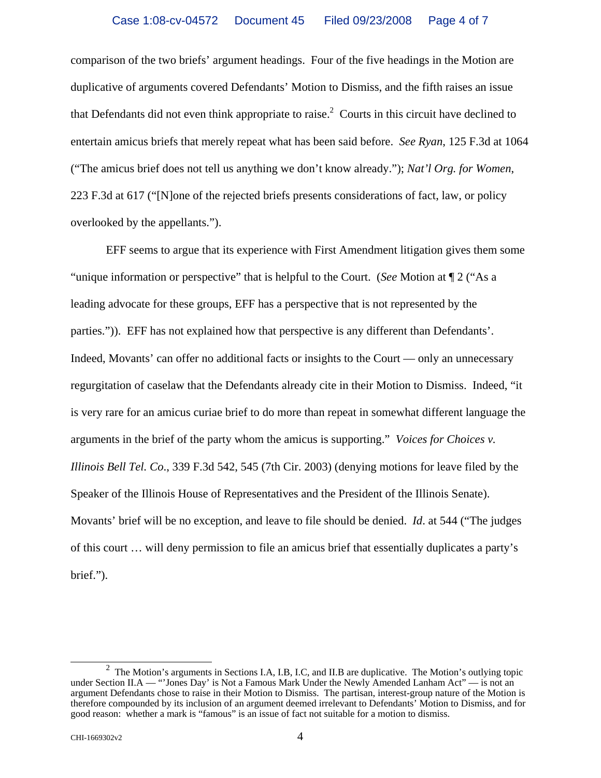comparison of the two briefs' argument headings. Four of the five headings in the Motion are duplicative of arguments covered Defendants' Motion to Dismiss, and the fifth raises an issue that Defendants did not even think appropriate to raise.<sup>2</sup> Courts in this circuit have declined to entertain amicus briefs that merely repeat what has been said before. *See Ryan*, 125 F.3d at 1064 ("The amicus brief does not tell us anything we don't know already."); *Nat'l Org. for Women*, 223 F.3d at 617 ("[N]one of the rejected briefs presents considerations of fact, law, or policy overlooked by the appellants.").

 EFF seems to argue that its experience with First Amendment litigation gives them some "unique information or perspective" that is helpful to the Court. (*See* Motion at ¶ 2 ("As a leading advocate for these groups, EFF has a perspective that is not represented by the parties.")). EFF has not explained how that perspective is any different than Defendants'. Indeed, Movants' can offer no additional facts or insights to the Court — only an unnecessary regurgitation of caselaw that the Defendants already cite in their Motion to Dismiss. Indeed, "it is very rare for an amicus curiae brief to do more than repeat in somewhat different language the arguments in the brief of the party whom the amicus is supporting." *Voices for Choices v. Illinois Bell Tel. Co*., 339 F.3d 542, 545 (7th Cir. 2003) (denying motions for leave filed by the Speaker of the Illinois House of Representatives and the President of the Illinois Senate). Movants' brief will be no exception, and leave to file should be denied. *Id*. at 544 ("The judges of this court … will deny permission to file an amicus brief that essentially duplicates a party's brief.").

 <sup>2</sup> <sup>2</sup> The Motion's arguments in Sections I.A, I.B, I.C, and II.B are duplicative. The Motion's outlying topic under Section II.A — "'Jones Day' is Not a Famous Mark Under the Newly Amended Lanham Act" — is not an argument Defendants chose to raise in their Motion to Dismiss. The partisan, interest-group nature of the Motion is therefore compounded by its inclusion of an argument deemed irrelevant to Defendants' Motion to Dismiss, and for good reason: whether a mark is "famous" is an issue of fact not suitable for a motion to dismiss.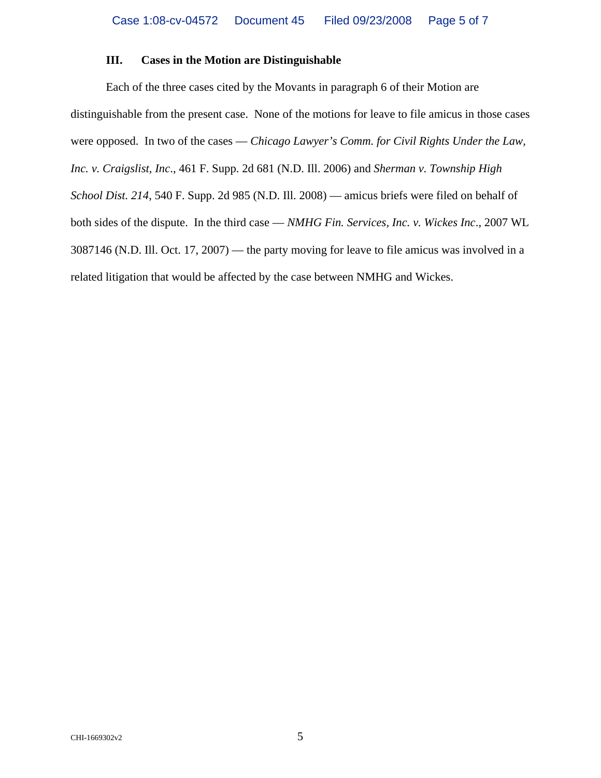#### **III. Cases in the Motion are Distinguishable**

 Each of the three cases cited by the Movants in paragraph 6 of their Motion are distinguishable from the present case. None of the motions for leave to file amicus in those cases were opposed. In two of the cases — *Chicago Lawyer's Comm. for Civil Rights Under the Law, Inc. v. Craigslist, Inc*., 461 F. Supp. 2d 681 (N.D. Ill. 2006) and *Sherman v. Township High School Dist. 214*, 540 F. Supp. 2d 985 (N.D. Ill. 2008) — amicus briefs were filed on behalf of both sides of the dispute. In the third case — *NMHG Fin. Services, Inc. v. Wickes Inc*., 2007 WL 3087146 (N.D. Ill. Oct. 17, 2007) — the party moving for leave to file amicus was involved in a related litigation that would be affected by the case between NMHG and Wickes.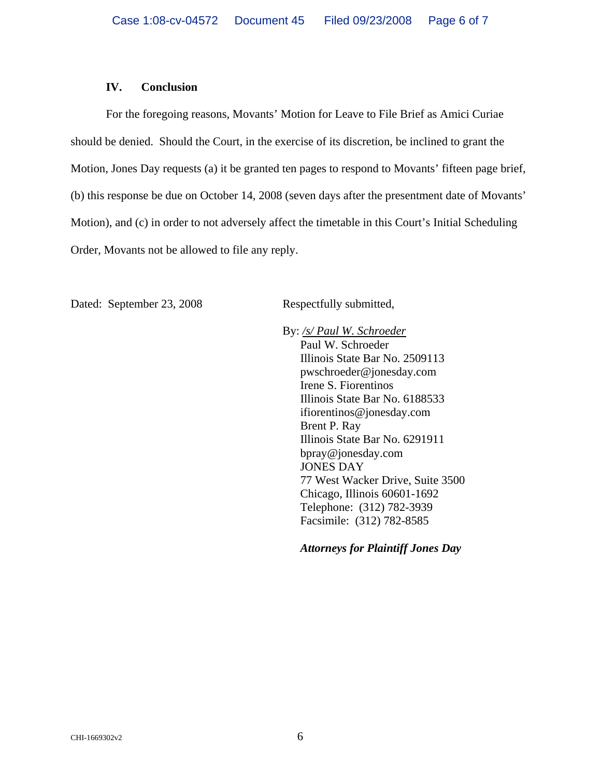#### **IV. Conclusion**

 For the foregoing reasons, Movants' Motion for Leave to File Brief as Amici Curiae should be denied. Should the Court, in the exercise of its discretion, be inclined to grant the Motion, Jones Day requests (a) it be granted ten pages to respond to Movants' fifteen page brief, (b) this response be due on October 14, 2008 (seven days after the presentment date of Movants' Motion), and (c) in order to not adversely affect the timetable in this Court's Initial Scheduling Order, Movants not be allowed to file any reply.

Dated: September 23, 2008 Respectfully submitted,

 By: */s/ Paul W. Schroeder* Paul W. Schroeder Illinois State Bar No. 2509113 pwschroeder@jonesday.com Irene S. Fiorentinos Illinois State Bar No. 6188533 ifiorentinos@jonesday.com Brent P. Ray Illinois State Bar No. 6291911 bpray@jonesday.com JONES DAY 77 West Wacker Drive, Suite 3500 Chicago, Illinois 60601-1692 Telephone: (312) 782-3939 Facsimile: (312) 782-8585

*Attorneys for Plaintiff Jones Day*